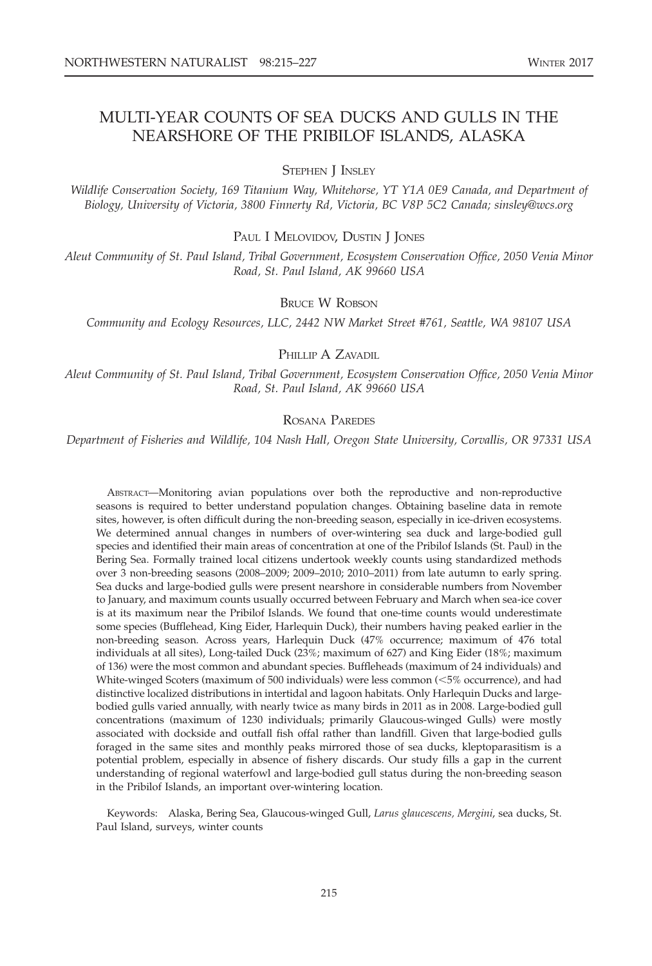# MULTI-YEAR COUNTS OF SEA DUCKS AND GULLS IN THE NEARSHORE OF THE PRIBILOF ISLANDS, ALASKA

STEPHEN J INSLEY

Wildlife Conservation Society, 169 Titanium Way, Whitehorse, YT Y1A 0E9 Canada, and Department of Biology, University of Victoria, 3800 Finnerty Rd, Victoria, BC V8P 5C2 Canada; sinsley@wcs.org

PAUL I MELOVIDOV, DUSTIN J JONES

Aleut Community of St. Paul Island, Tribal Government, Ecosystem Conservation Office, 2050 Venia Minor Road, St. Paul Island, AK 99660 USA

# BRUCE W ROBSON

Community and Ecology Resources, LLC, 2442 NW Market Street #761, Seattle, WA 98107 USA

## PHILLIP A ZAVADIL

Aleut Community of St. Paul Island, Tribal Government, Ecosystem Conservation Office, 2050 Venia Minor Road, St. Paul Island, AK 99660 USA

# ROSANA PAREDES

Department of Fisheries and Wildlife, 104 Nash Hall, Oregon State University, Corvallis, OR 97331 USA

ABSTRACT—Monitoring avian populations over both the reproductive and non-reproductive seasons is required to better understand population changes. Obtaining baseline data in remote sites, however, is often difficult during the non-breeding season, especially in ice-driven ecosystems. We determined annual changes in numbers of over-wintering sea duck and large-bodied gull species and identified their main areas of concentration at one of the Pribilof Islands (St. Paul) in the Bering Sea. Formally trained local citizens undertook weekly counts using standardized methods over 3 non-breeding seasons (2008–2009; 2009–2010; 2010–2011) from late autumn to early spring. Sea ducks and large-bodied gulls were present nearshore in considerable numbers from November to January, and maximum counts usually occurred between February and March when sea-ice cover is at its maximum near the Pribilof Islands. We found that one-time counts would underestimate some species (Bufflehead, King Eider, Harlequin Duck), their numbers having peaked earlier in the non-breeding season. Across years, Harlequin Duck (47% occurrence; maximum of 476 total individuals at all sites), Long-tailed Duck (23%; maximum of 627) and King Eider (18%; maximum of 136) were the most common and abundant species. Buffleheads (maximum of 24 individuals) and White-winged Scoters (maximum of 500 individuals) were less common  $(< 5\%$  occurrence), and had distinctive localized distributions in intertidal and lagoon habitats. Only Harlequin Ducks and largebodied gulls varied annually, with nearly twice as many birds in 2011 as in 2008. Large-bodied gull concentrations (maximum of 1230 individuals; primarily Glaucous-winged Gulls) were mostly associated with dockside and outfall fish offal rather than landfill. Given that large-bodied gulls foraged in the same sites and monthly peaks mirrored those of sea ducks, kleptoparasitism is a potential problem, especially in absence of fishery discards. Our study fills a gap in the current understanding of regional waterfowl and large-bodied gull status during the non-breeding season in the Pribilof Islands, an important over-wintering location.

Keywords: Alaska, Bering Sea, Glaucous-winged Gull, Larus glaucescens, Mergini, sea ducks, St. Paul Island, surveys, winter counts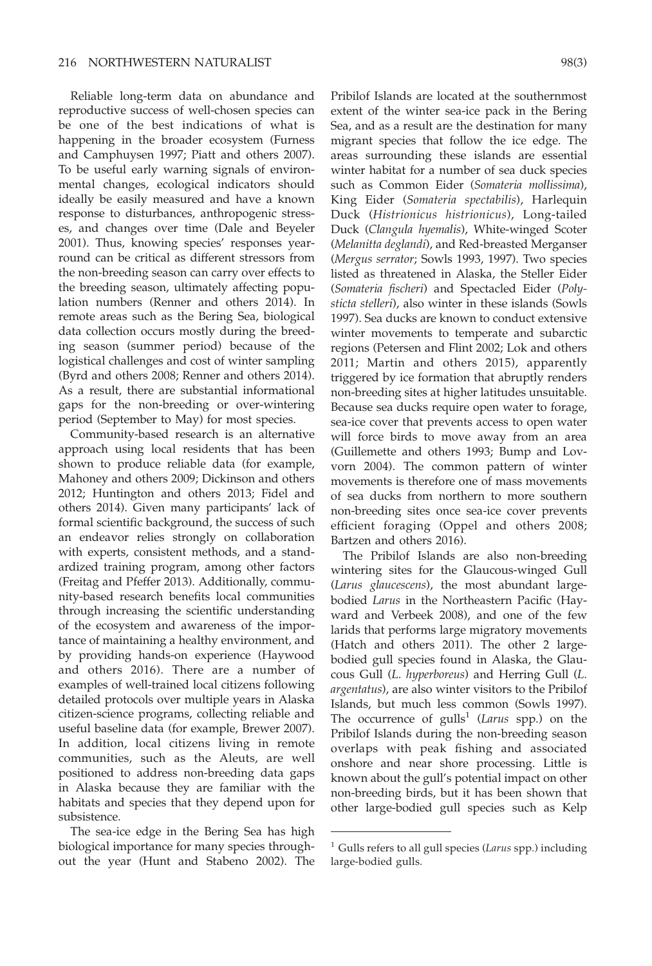Reliable long-term data on abundance and reproductive success of well-chosen species can be one of the best indications of what is happening in the broader ecosystem (Furness and Camphuysen 1997; Piatt and others 2007). To be useful early warning signals of environmental changes, ecological indicators should ideally be easily measured and have a known response to disturbances, anthropogenic stresses, and changes over time (Dale and Beyeler 2001). Thus, knowing species' responses yearround can be critical as different stressors from the non-breeding season can carry over effects to the breeding season, ultimately affecting population numbers (Renner and others 2014). In remote areas such as the Bering Sea, biological data collection occurs mostly during the breeding season (summer period) because of the logistical challenges and cost of winter sampling (Byrd and others 2008; Renner and others 2014). As a result, there are substantial informational gaps for the non-breeding or over-wintering period (September to May) for most species.

Community-based research is an alternative approach using local residents that has been shown to produce reliable data (for example, Mahoney and others 2009; Dickinson and others 2012; Huntington and others 2013; Fidel and others 2014). Given many participants' lack of formal scientific background, the success of such an endeavor relies strongly on collaboration with experts, consistent methods, and a standardized training program, among other factors (Freitag and Pfeffer 2013). Additionally, community-based research benefits local communities through increasing the scientific understanding of the ecosystem and awareness of the importance of maintaining a healthy environment, and by providing hands-on experience (Haywood and others 2016). There are a number of examples of well-trained local citizens following detailed protocols over multiple years in Alaska citizen-science programs, collecting reliable and useful baseline data (for example, Brewer 2007). In addition, local citizens living in remote communities, such as the Aleuts, are well positioned to address non-breeding data gaps in Alaska because they are familiar with the habitats and species that they depend upon for subsistence.

The sea-ice edge in the Bering Sea has high biological importance for many species throughout the year (Hunt and Stabeno 2002). The Pribilof Islands are located at the southernmost extent of the winter sea-ice pack in the Bering Sea, and as a result are the destination for many migrant species that follow the ice edge. The areas surrounding these islands are essential winter habitat for a number of sea duck species such as Common Eider (Somateria mollissima), King Eider (Somateria spectabilis), Harlequin Duck (Histrionicus histrionicus), Long-tailed Duck (Clangula hyemalis), White-winged Scoter (Melanitta deglandi), and Red-breasted Merganser (Mergus serrator; Sowls 1993, 1997). Two species listed as threatened in Alaska, the Steller Eider (Somateria fischeri) and Spectacled Eider (Polysticta stelleri), also winter in these islands (Sowls 1997). Sea ducks are known to conduct extensive winter movements to temperate and subarctic regions (Petersen and Flint 2002; Lok and others 2011; Martin and others 2015), apparently triggered by ice formation that abruptly renders non-breeding sites at higher latitudes unsuitable. Because sea ducks require open water to forage, sea-ice cover that prevents access to open water will force birds to move away from an area (Guillemette and others 1993; Bump and Lovvorn 2004). The common pattern of winter movements is therefore one of mass movements of sea ducks from northern to more southern non-breeding sites once sea-ice cover prevents efficient foraging (Oppel and others 2008; Bartzen and others 2016).

The Pribilof Islands are also non-breeding wintering sites for the Glaucous-winged Gull (Larus glaucescens), the most abundant largebodied Larus in the Northeastern Pacific (Hayward and Verbeek 2008), and one of the few larids that performs large migratory movements (Hatch and others 2011). The other 2 largebodied gull species found in Alaska, the Glaucous Gull (L. hyperboreus) and Herring Gull (L. argentatus), are also winter visitors to the Pribilof Islands, but much less common (Sowls 1997). The occurrence of gulls<sup>1</sup> (Larus spp.) on the Pribilof Islands during the non-breeding season overlaps with peak fishing and associated onshore and near shore processing. Little is known about the gull's potential impact on other non-breeding birds, but it has been shown that other large-bodied gull species such as Kelp

 $1$  Gulls refers to all gull species (Larus spp.) including large-bodied gulls.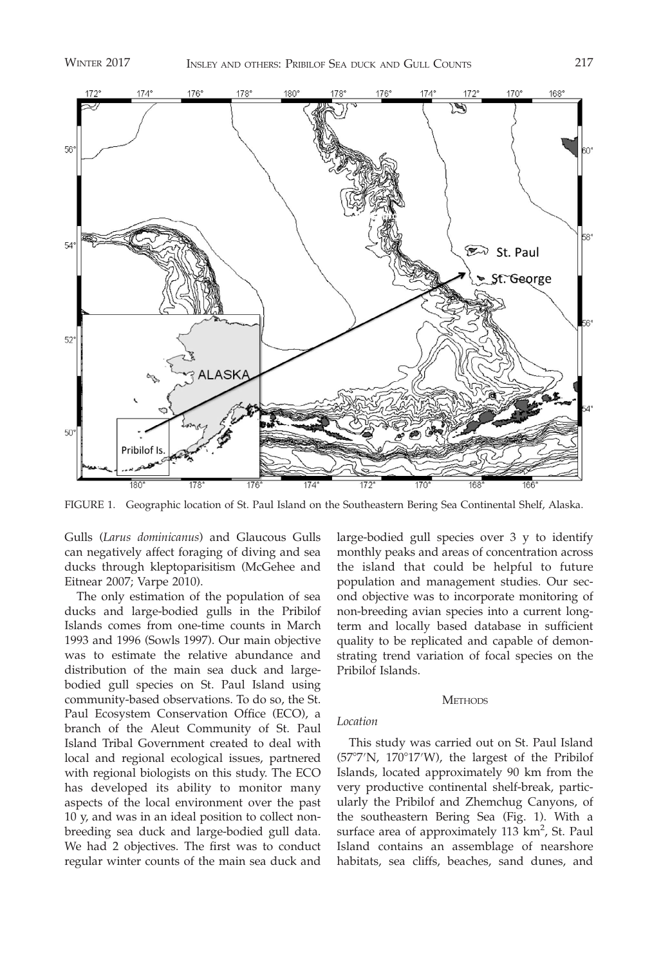

FIGURE 1. Geographic location of St. Paul Island on the Southeastern Bering Sea Continental Shelf, Alaska.

Gulls (Larus dominicanus) and Glaucous Gulls can negatively affect foraging of diving and sea ducks through kleptoparisitism (McGehee and Eitnear 2007; Varpe 2010).

The only estimation of the population of sea ducks and large-bodied gulls in the Pribilof Islands comes from one-time counts in March 1993 and 1996 (Sowls 1997). Our main objective was to estimate the relative abundance and distribution of the main sea duck and largebodied gull species on St. Paul Island using community-based observations. To do so, the St. Paul Ecosystem Conservation Office (ECO), a branch of the Aleut Community of St. Paul Island Tribal Government created to deal with local and regional ecological issues, partnered with regional biologists on this study. The ECO has developed its ability to monitor many aspects of the local environment over the past 10 y, and was in an ideal position to collect nonbreeding sea duck and large-bodied gull data. We had 2 objectives. The first was to conduct regular winter counts of the main sea duck and large-bodied gull species over 3 y to identify monthly peaks and areas of concentration across the island that could be helpful to future population and management studies. Our second objective was to incorporate monitoring of non-breeding avian species into a current longterm and locally based database in sufficient quality to be replicated and capable of demonstrating trend variation of focal species on the Pribilof Islands.

#### **METHODS**

#### Location

This study was carried out on St. Paul Island  $(57°7'N, 170°17'W)$ , the largest of the Pribilof Islands, located approximately 90 km from the very productive continental shelf-break, particularly the Pribilof and Zhemchug Canyons, of the southeastern Bering Sea (Fig. 1). With a surface area of approximately 113 km<sup>2</sup>, St. Paul Island contains an assemblage of nearshore habitats, sea cliffs, beaches, sand dunes, and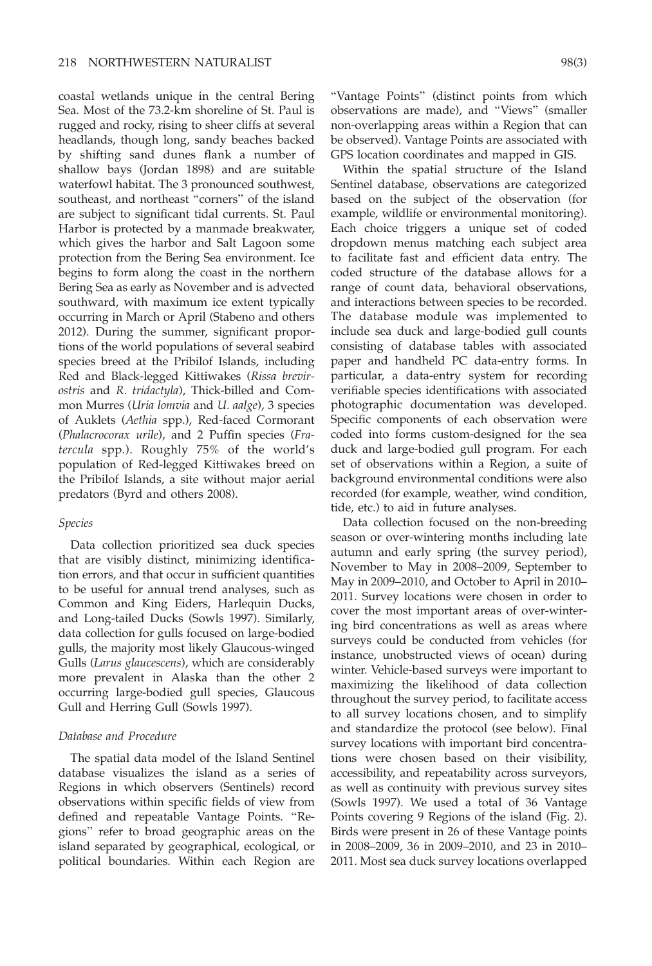coastal wetlands unique in the central Bering Sea. Most of the 73.2-km shoreline of St. Paul is rugged and rocky, rising to sheer cliffs at several headlands, though long, sandy beaches backed by shifting sand dunes flank a number of shallow bays (Jordan 1898) and are suitable waterfowl habitat. The 3 pronounced southwest, southeast, and northeast ''corners'' of the island are subject to significant tidal currents. St. Paul Harbor is protected by a manmade breakwater, which gives the harbor and Salt Lagoon some protection from the Bering Sea environment. Ice begins to form along the coast in the northern Bering Sea as early as November and is advected southward, with maximum ice extent typically occurring in March or April (Stabeno and others 2012). During the summer, significant proportions of the world populations of several seabird species breed at the Pribilof Islands, including Red and Black-legged Kittiwakes (Rissa brevirostris and R. tridactyla), Thick-billed and Common Murres (Uria lomvia and U. aalge), 3 species of Auklets (Aethia spp.), Red-faced Cormorant (Phalacrocorax urile), and 2 Puffin species (Fratercula spp.). Roughly 75% of the world's population of Red-legged Kittiwakes breed on the Pribilof Islands, a site without major aerial predators (Byrd and others 2008).

# Species

Data collection prioritized sea duck species that are visibly distinct, minimizing identification errors, and that occur in sufficient quantities to be useful for annual trend analyses, such as Common and King Eiders, Harlequin Ducks, and Long-tailed Ducks (Sowls 1997). Similarly, data collection for gulls focused on large-bodied gulls, the majority most likely Glaucous-winged Gulls (Larus glaucescens), which are considerably more prevalent in Alaska than the other 2 occurring large-bodied gull species, Glaucous Gull and Herring Gull (Sowls 1997).

## Database and Procedure

The spatial data model of the Island Sentinel database visualizes the island as a series of Regions in which observers (Sentinels) record observations within specific fields of view from defined and repeatable Vantage Points. ''Regions'' refer to broad geographic areas on the island separated by geographical, ecological, or political boundaries. Within each Region are ''Vantage Points'' (distinct points from which observations are made), and ''Views'' (smaller non-overlapping areas within a Region that can be observed). Vantage Points are associated with GPS location coordinates and mapped in GIS.

Within the spatial structure of the Island Sentinel database, observations are categorized based on the subject of the observation (for example, wildlife or environmental monitoring). Each choice triggers a unique set of coded dropdown menus matching each subject area to facilitate fast and efficient data entry. The coded structure of the database allows for a range of count data, behavioral observations, and interactions between species to be recorded. The database module was implemented to include sea duck and large-bodied gull counts consisting of database tables with associated paper and handheld PC data-entry forms. In particular, a data-entry system for recording verifiable species identifications with associated photographic documentation was developed. Specific components of each observation were coded into forms custom-designed for the sea duck and large-bodied gull program. For each set of observations within a Region, a suite of background environmental conditions were also recorded (for example, weather, wind condition, tide, etc.) to aid in future analyses.

Data collection focused on the non-breeding season or over-wintering months including late autumn and early spring (the survey period), November to May in 2008–2009, September to May in 2009–2010, and October to April in 2010– 2011. Survey locations were chosen in order to cover the most important areas of over-wintering bird concentrations as well as areas where surveys could be conducted from vehicles (for instance, unobstructed views of ocean) during winter. Vehicle-based surveys were important to maximizing the likelihood of data collection throughout the survey period, to facilitate access to all survey locations chosen, and to simplify and standardize the protocol (see below). Final survey locations with important bird concentrations were chosen based on their visibility, accessibility, and repeatability across surveyors, as well as continuity with previous survey sites (Sowls 1997). We used a total of 36 Vantage Points covering 9 Regions of the island (Fig. 2). Birds were present in 26 of these Vantage points in 2008–2009, 36 in 2009–2010, and 23 in 2010– 2011. Most sea duck survey locations overlapped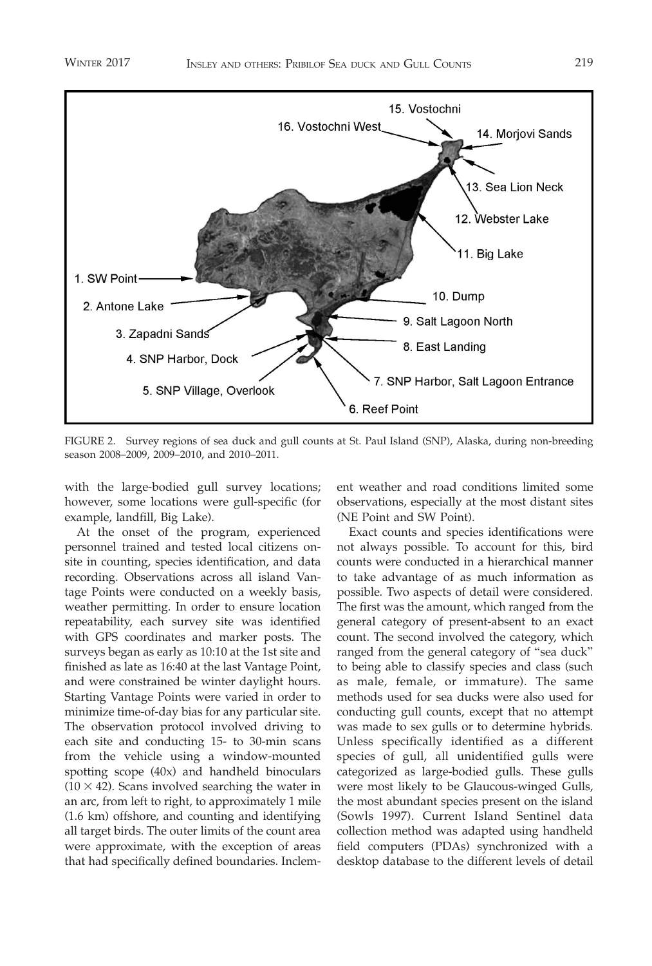

FIGURE 2. Survey regions of sea duck and gull counts at St. Paul Island (SNP), Alaska, during non-breeding season 2008–2009, 2009–2010, and 2010–2011.

with the large-bodied gull survey locations; however, some locations were gull-specific (for example, landfill, Big Lake).

At the onset of the program, experienced personnel trained and tested local citizens onsite in counting, species identification, and data recording. Observations across all island Vantage Points were conducted on a weekly basis, weather permitting. In order to ensure location repeatability, each survey site was identified with GPS coordinates and marker posts. The surveys began as early as 10:10 at the 1st site and finished as late as 16:40 at the last Vantage Point, and were constrained be winter daylight hours. Starting Vantage Points were varied in order to minimize time-of-day bias for any particular site. The observation protocol involved driving to each site and conducting 15- to 30-min scans from the vehicle using a window-mounted spotting scope (40x) and handheld binoculars  $(10 \times 42)$ . Scans involved searching the water in an arc, from left to right, to approximately 1 mile (1.6 km) offshore, and counting and identifying all target birds. The outer limits of the count area were approximate, with the exception of areas that had specifically defined boundaries. Inclement weather and road conditions limited some observations, especially at the most distant sites (NE Point and SW Point).

Exact counts and species identifications were not always possible. To account for this, bird counts were conducted in a hierarchical manner to take advantage of as much information as possible. Two aspects of detail were considered. The first was the amount, which ranged from the general category of present-absent to an exact count. The second involved the category, which ranged from the general category of ''sea duck'' to being able to classify species and class (such as male, female, or immature). The same methods used for sea ducks were also used for conducting gull counts, except that no attempt was made to sex gulls or to determine hybrids. Unless specifically identified as a different species of gull, all unidentified gulls were categorized as large-bodied gulls. These gulls were most likely to be Glaucous-winged Gulls, the most abundant species present on the island (Sowls 1997). Current Island Sentinel data collection method was adapted using handheld field computers (PDAs) synchronized with a desktop database to the different levels of detail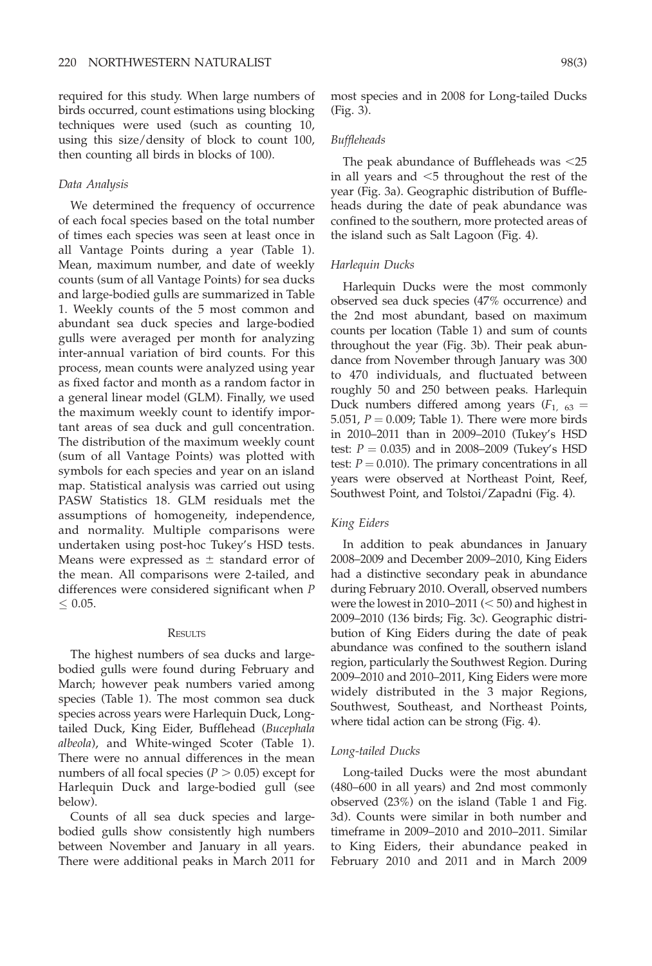required for this study. When large numbers of birds occurred, count estimations using blocking techniques were used (such as counting 10, using this size/density of block to count 100, then counting all birds in blocks of 100).

## Data Analysis

We determined the frequency of occurrence of each focal species based on the total number of times each species was seen at least once in all Vantage Points during a year (Table 1). Mean, maximum number, and date of weekly counts (sum of all Vantage Points) for sea ducks and large-bodied gulls are summarized in Table 1. Weekly counts of the 5 most common and abundant sea duck species and large-bodied gulls were averaged per month for analyzing inter-annual variation of bird counts. For this process, mean counts were analyzed using year as fixed factor and month as a random factor in a general linear model (GLM). Finally, we used the maximum weekly count to identify important areas of sea duck and gull concentration. The distribution of the maximum weekly count (sum of all Vantage Points) was plotted with symbols for each species and year on an island map. Statistical analysis was carried out using PASW Statistics 18. GLM residuals met the assumptions of homogeneity, independence, and normality. Multiple comparisons were undertaken using post-hoc Tukey's HSD tests. Means were expressed as  $\pm$  standard error of the mean. All comparisons were 2-tailed, and differences were considered significant when P  $\leq 0.05$ .

#### **RESULTS**

The highest numbers of sea ducks and largebodied gulls were found during February and March; however peak numbers varied among species (Table 1). The most common sea duck species across years were Harlequin Duck, Longtailed Duck, King Eider, Bufflehead (Bucephala albeola), and White-winged Scoter (Table 1). There were no annual differences in the mean numbers of all focal species ( $P > 0.05$ ) except for Harlequin Duck and large-bodied gull (see below).

Counts of all sea duck species and largebodied gulls show consistently high numbers between November and January in all years. There were additional peaks in March 2011 for most species and in 2008 for Long-tailed Ducks (Fig. 3).

## Buffleheads

The peak abundance of Buffleheads was  $\leq$ 25 in all years and  $\leq$ 5 throughout the rest of the year (Fig. 3a). Geographic distribution of Buffleheads during the date of peak abundance was confined to the southern, more protected areas of the island such as Salt Lagoon (Fig. 4).

## Harlequin Ducks

Harlequin Ducks were the most commonly observed sea duck species (47% occurrence) and the 2nd most abundant, based on maximum counts per location (Table 1) and sum of counts throughout the year (Fig. 3b). Their peak abundance from November through January was 300 to 470 individuals, and fluctuated between roughly 50 and 250 between peaks. Harlequin Duck numbers differed among years  $(F_{1, 63} =$ 5.051,  $P = 0.009$ ; Table 1). There were more birds in 2010–2011 than in 2009–2010 (Tukey's HSD test:  $P = 0.035$ ) and in 2008–2009 (Tukey's HSD test:  $P = 0.010$ ). The primary concentrations in all years were observed at Northeast Point, Reef, Southwest Point, and Tolstoi/Zapadni (Fig. 4).

### King Eiders

In addition to peak abundances in January 2008–2009 and December 2009–2010, King Eiders had a distinctive secondary peak in abundance during February 2010. Overall, observed numbers were the lowest in 2010–2011  $(< 50$ ) and highest in 2009–2010 (136 birds; Fig. 3c). Geographic distribution of King Eiders during the date of peak abundance was confined to the southern island region, particularly the Southwest Region. During 2009–2010 and 2010–2011, King Eiders were more widely distributed in the 3 major Regions, Southwest, Southeast, and Northeast Points, where tidal action can be strong (Fig. 4).

### Long-tailed Ducks

Long-tailed Ducks were the most abundant (480–600 in all years) and 2nd most commonly observed (23%) on the island (Table 1 and Fig. 3d). Counts were similar in both number and timeframe in 2009–2010 and 2010–2011. Similar to King Eiders, their abundance peaked in February 2010 and 2011 and in March 2009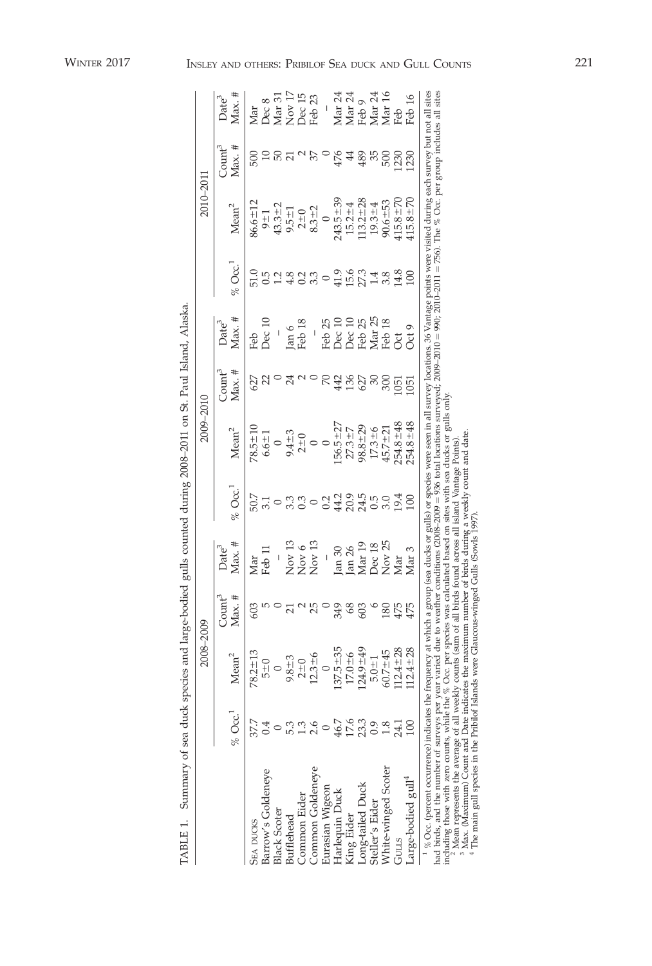|                                                                                                                                                                                                                                                                                                                                                                                                                                |           | 2008-2009         |                                     |                               |                    | 2009-201          |                            |                                                |                      | 2010-201                    |                                              |                                               |
|--------------------------------------------------------------------------------------------------------------------------------------------------------------------------------------------------------------------------------------------------------------------------------------------------------------------------------------------------------------------------------------------------------------------------------|-----------|-------------------|-------------------------------------|-------------------------------|--------------------|-------------------|----------------------------|------------------------------------------------|----------------------|-----------------------------|----------------------------------------------|-----------------------------------------------|
|                                                                                                                                                                                                                                                                                                                                                                                                                                | $\%$ Occ. | Mean <sup>2</sup> | $\mathbb{C}\text{curl}^3$<br>Max. # | $Max.$ #<br>Date <sup>3</sup> | $\%$ Occ.          | Mean <sup>2</sup> | $\text{Count}^3$<br>Max. # | Max. #<br>Date <sup>3</sup>                    | $\%$ Occ.            | Mean <sup>2</sup>           | $\mathbb{C}$ ount $\mathbb{C}^3$<br>$Max.$ # | Max. $#$<br>Date <sup>3</sup>                 |
| <b>SEA DUCKS</b>                                                                                                                                                                                                                                                                                                                                                                                                               | 37.7      | $78.2 \pm 13$     |                                     | Vlar                          | 50.7               | $78.5 \pm 10$     | 527                        | Feb                                            |                      | $6.6 \pm 12$                | 500                                          | Mar                                           |
| Barrow's Goldeneye                                                                                                                                                                                                                                                                                                                                                                                                             |           | $\frac{1}{2}$     |                                     | Feb 11                        |                    | $6.6 \pm 1$       |                            | Dec 10                                         |                      | $9 \pm 1$                   |                                              |                                               |
| <b>Black Scoter</b>                                                                                                                                                                                                                                                                                                                                                                                                            |           |                   |                                     | $\overline{a}$                |                    |                   |                            |                                                |                      |                             |                                              |                                               |
| <b>Bufflehead</b>                                                                                                                                                                                                                                                                                                                                                                                                              |           | $9.8 + 3$         |                                     | Nov <sub>13</sub>             | 3.3                |                   | 24                         |                                                |                      | $43.3 \pm 2$<br>9.5 $\pm 1$ |                                              | Dec 8<br>Mar 31<br>Nov 17<br>Dec 15<br>Feb 23 |
| <b>Common Eider</b>                                                                                                                                                                                                                                                                                                                                                                                                            |           | $2+0$             |                                     | Nov 6<br>Nov 13               | 0.3                | $9.4 + 3$<br>2+0  |                            | Jan 6<br>Feb 18                                |                      |                             |                                              |                                               |
| Common Goldeneye                                                                                                                                                                                                                                                                                                                                                                                                               |           | $2.3 - 6$         |                                     |                               |                    |                   |                            |                                                | 0.3<br>0.3           | $2+0$<br>8.3 + 2            |                                              |                                               |
| Eurasian Wigeon                                                                                                                                                                                                                                                                                                                                                                                                                |           |                   |                                     | $\overline{\phantom{a}}$      | 0.2                |                   | $\approx$                  | Feb 25                                         | $\circ$              | $\circ$                     |                                              |                                               |
| Harlequin Duck                                                                                                                                                                                                                                                                                                                                                                                                                 | 46.7      | $137.5 + 35$      | 349                                 | Jan 30                        |                    | $156.5 + 27$      |                            |                                                |                      | $43.5 + 39$                 | 476                                          |                                               |
| King Eider                                                                                                                                                                                                                                                                                                                                                                                                                     | 17.6      | $17.0 - 6$        | 68                                  |                               |                    | $27.3 + 7$        | 442<br>136                 |                                                |                      | $15.2 \pm 4$                | $\ddot{4}$                                   |                                               |
|                                                                                                                                                                                                                                                                                                                                                                                                                                | 23.3      | $124.9 \pm 49$    | 503                                 | Jan 26<br>Mar 19              | 43<br>2045<br>4245 | $98.8 + 29$       | 627                        | Dec 10<br>Dec 10<br>Deb 25<br>Mar 25<br>Reb 18 | 41.9<br>15.6<br>27.3 | $13.2 \pm 28$               | 489                                          | Mar 24<br>Mar 24<br>Feb 9<br>Mar 24<br>Mar 16 |
| Long-tailed Duck<br>Steller's Eider                                                                                                                                                                                                                                                                                                                                                                                            | 0.9       | $5.0 \pm 1$       |                                     | Dec 18                        |                    | $17.3 + 6$        | S                          |                                                | 1.4                  | $19.3 + 4$                  | 35                                           |                                               |
| White-winged Scoter                                                                                                                                                                                                                                                                                                                                                                                                            | 1.8       | $60.7 - 45$       | 180                                 |                               | 3.0                | $45.7 \pm 21$     | 300                        |                                                | 3.8                  | $90.6 + 53$                 | 500                                          |                                               |
| GULLS                                                                                                                                                                                                                                                                                                                                                                                                                          | 24.1      | $12.4 \pm 28$     | 475                                 | Nov $25$ Mar $\,$             | 19.4               | $254.8 \pm 48$    | 1051                       | ž                                              | 14.8                 | $115.8 + 70$                | 1230                                         | Feb                                           |
| Large-bodied gull <sup>4</sup>                                                                                                                                                                                                                                                                                                                                                                                                 |           | $12.4 \pm 28$     | 475                                 | Mar <sub>3</sub>              | 100                | $254.8 \pm 48$    | $\overline{5}$             | Oct 9                                          | $\Xi$                | $15.8 + 70$                 | 230                                          | Feb 16                                        |
| <sup>1</sup> % Occ. (percent occurrence) indicates the frequency at which a group (sea ducks or gulls) or species were seen in all survey locations. 36 Vantage points were visited during each survey but not all sites<br>had birds, and the number of surveys per year varied due to weather conditions (2008-2009 = 936 total locations surveyed; 2009-2010-2010-2010-2011 = 756). The % Occ. per group includes all sites |           |                   |                                     |                               |                    |                   |                            |                                                |                      |                             |                                              |                                               |

Summary of sea duck species and large-bodied gulls counted during 2008-2011 on St. Paul Island, Alaska. TABLE 1. Summary of sea duck species and large-bodied gulls counted during 2008–2011 on St. Paul Island, Alaska. TABLE 1.

induding those with zero counts, while the  $\%$  Occ. per species was calculated based on sites with sea ducks or gulls only.<br><sup>2</sup> Mean represents the average of all weekly counts (sum of all birds found across all island V induding those with zero counts, while the % Occ. per species was calculated based on sites with sea ducks or gulls only.<br><sup>3</sup> Mean represents the average of all weekly counts (sum of all birds of burd actorss all siand Van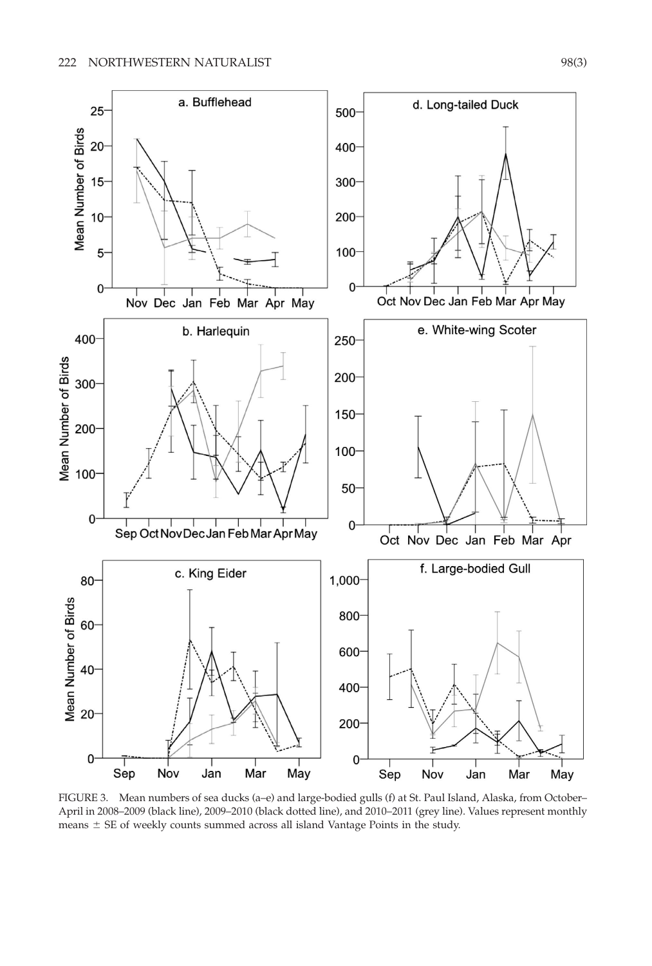

FIGURE 3. Mean numbers of sea ducks (a–e) and large-bodied gulls (f) at St. Paul Island, Alaska, from October– April in 2008–2009 (black line), 2009–2010 (black dotted line), and 2010–2011 (grey line). Values represent monthly means  $\pm$  SE of weekly counts summed across all island Vantage Points in the study.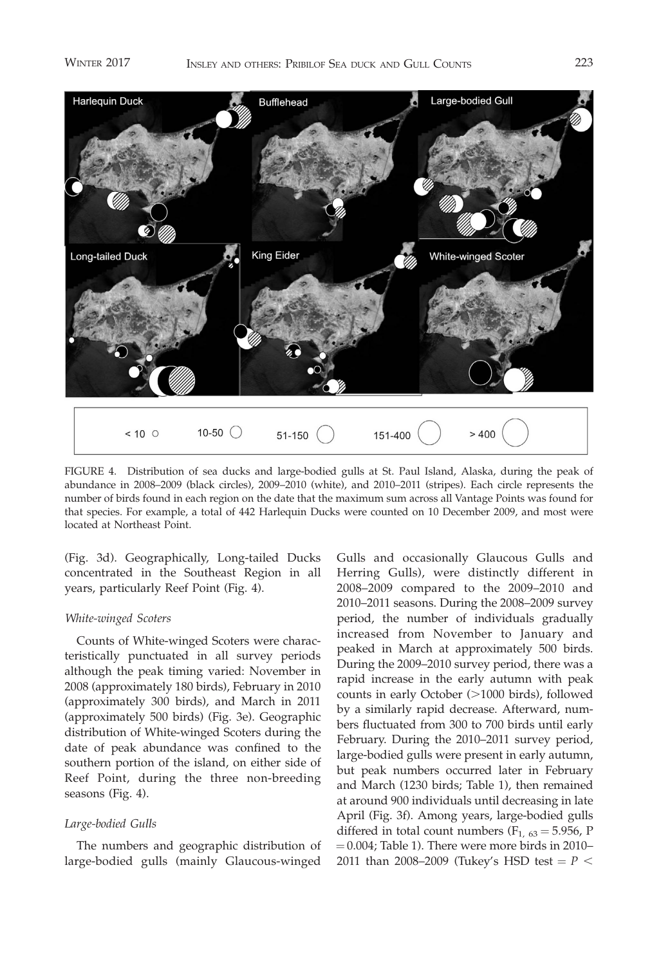

FIGURE 4. Distribution of sea ducks and large-bodied gulls at St. Paul Island, Alaska, during the peak of abundance in 2008–2009 (black circles), 2009–2010 (white), and 2010–2011 (stripes). Each circle represents the number of birds found in each region on the date that the maximum sum across all Vantage Points was found for that species. For example, a total of 442 Harlequin Ducks were counted on 10 December 2009, and most were located at Northeast Point.

(Fig. 3d). Geographically, Long-tailed Ducks concentrated in the Southeast Region in all years, particularly Reef Point (Fig. 4).

# White-winged Scoters

Counts of White-winged Scoters were characteristically punctuated in all survey periods although the peak timing varied: November in 2008 (approximately 180 birds), February in 2010 (approximately 300 birds), and March in 2011 (approximately 500 birds) (Fig. 3e). Geographic distribution of White-winged Scoters during the date of peak abundance was confined to the southern portion of the island, on either side of Reef Point, during the three non-breeding seasons (Fig. 4).

## Large-bodied Gulls

The numbers and geographic distribution of large-bodied gulls (mainly Glaucous-winged

Gulls and occasionally Glaucous Gulls and Herring Gulls), were distinctly different in 2008–2009 compared to the 2009–2010 and 2010–2011 seasons. During the 2008–2009 survey period, the number of individuals gradually increased from November to January and peaked in March at approximately 500 birds. During the 2009–2010 survey period, there was a rapid increase in the early autumn with peak counts in early October (>1000 birds), followed by a similarly rapid decrease. Afterward, numbers fluctuated from 300 to 700 birds until early February. During the 2010–2011 survey period, large-bodied gulls were present in early autumn, but peak numbers occurred later in February and March (1230 birds; Table 1), then remained at around 900 individuals until decreasing in late April (Fig. 3f). Among years, large-bodied gulls differed in total count numbers ( $F_{1, 63} = 5.956$ , P  $= 0.004$ ; Table 1). There were more birds in 2010– 2011 than 2008–2009 (Tukey's HSD test =  $P$  <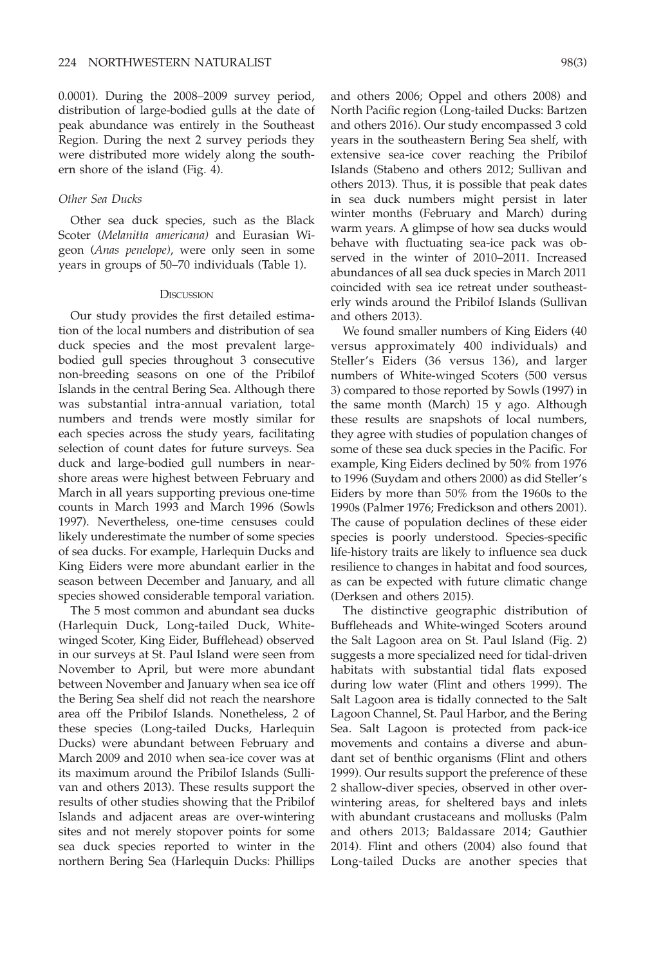0.0001). During the 2008–2009 survey period, distribution of large-bodied gulls at the date of peak abundance was entirely in the Southeast Region. During the next 2 survey periods they were distributed more widely along the southern shore of the island (Fig. 4).

## Other Sea Ducks

Other sea duck species, such as the Black Scoter (Melanitta americana) and Eurasian Wigeon (Anas penelope), were only seen in some years in groups of 50–70 individuals (Table 1).

#### **DISCUSSION**

Our study provides the first detailed estimation of the local numbers and distribution of sea duck species and the most prevalent largebodied gull species throughout 3 consecutive non-breeding seasons on one of the Pribilof Islands in the central Bering Sea. Although there was substantial intra-annual variation, total numbers and trends were mostly similar for each species across the study years, facilitating selection of count dates for future surveys. Sea duck and large-bodied gull numbers in nearshore areas were highest between February and March in all years supporting previous one-time counts in March 1993 and March 1996 (Sowls 1997). Nevertheless, one-time censuses could likely underestimate the number of some species of sea ducks. For example, Harlequin Ducks and King Eiders were more abundant earlier in the season between December and January, and all species showed considerable temporal variation.

The 5 most common and abundant sea ducks (Harlequin Duck, Long-tailed Duck, Whitewinged Scoter, King Eider, Bufflehead) observed in our surveys at St. Paul Island were seen from November to April, but were more abundant between November and January when sea ice off the Bering Sea shelf did not reach the nearshore area off the Pribilof Islands. Nonetheless, 2 of these species (Long-tailed Ducks, Harlequin Ducks) were abundant between February and March 2009 and 2010 when sea-ice cover was at its maximum around the Pribilof Islands (Sullivan and others 2013). These results support the results of other studies showing that the Pribilof Islands and adjacent areas are over-wintering sites and not merely stopover points for some sea duck species reported to winter in the northern Bering Sea (Harlequin Ducks: Phillips

and others 2006; Oppel and others 2008) and North Pacific region (Long-tailed Ducks: Bartzen and others 2016). Our study encompassed 3 cold years in the southeastern Bering Sea shelf, with extensive sea-ice cover reaching the Pribilof Islands (Stabeno and others 2012; Sullivan and others 2013). Thus, it is possible that peak dates in sea duck numbers might persist in later winter months (February and March) during warm years. A glimpse of how sea ducks would behave with fluctuating sea-ice pack was observed in the winter of 2010–2011. Increased abundances of all sea duck species in March 2011 coincided with sea ice retreat under southeasterly winds around the Pribilof Islands (Sullivan and others 2013).

We found smaller numbers of King Eiders (40 versus approximately 400 individuals) and Steller's Eiders (36 versus 136), and larger numbers of White-winged Scoters (500 versus 3) compared to those reported by Sowls (1997) in the same month (March) 15 y ago. Although these results are snapshots of local numbers, they agree with studies of population changes of some of these sea duck species in the Pacific. For example, King Eiders declined by 50% from 1976 to 1996 (Suydam and others 2000) as did Steller's Eiders by more than 50% from the 1960s to the 1990s (Palmer 1976; Fredickson and others 2001). The cause of population declines of these eider species is poorly understood. Species-specific life-history traits are likely to influence sea duck resilience to changes in habitat and food sources, as can be expected with future climatic change (Derksen and others 2015).

The distinctive geographic distribution of Buffleheads and White-winged Scoters around the Salt Lagoon area on St. Paul Island (Fig. 2) suggests a more specialized need for tidal-driven habitats with substantial tidal flats exposed during low water (Flint and others 1999). The Salt Lagoon area is tidally connected to the Salt Lagoon Channel, St. Paul Harbor, and the Bering Sea. Salt Lagoon is protected from pack-ice movements and contains a diverse and abundant set of benthic organisms (Flint and others 1999). Our results support the preference of these 2 shallow-diver species, observed in other overwintering areas, for sheltered bays and inlets with abundant crustaceans and mollusks (Palm and others 2013; Baldassare 2014; Gauthier 2014). Flint and others (2004) also found that Long-tailed Ducks are another species that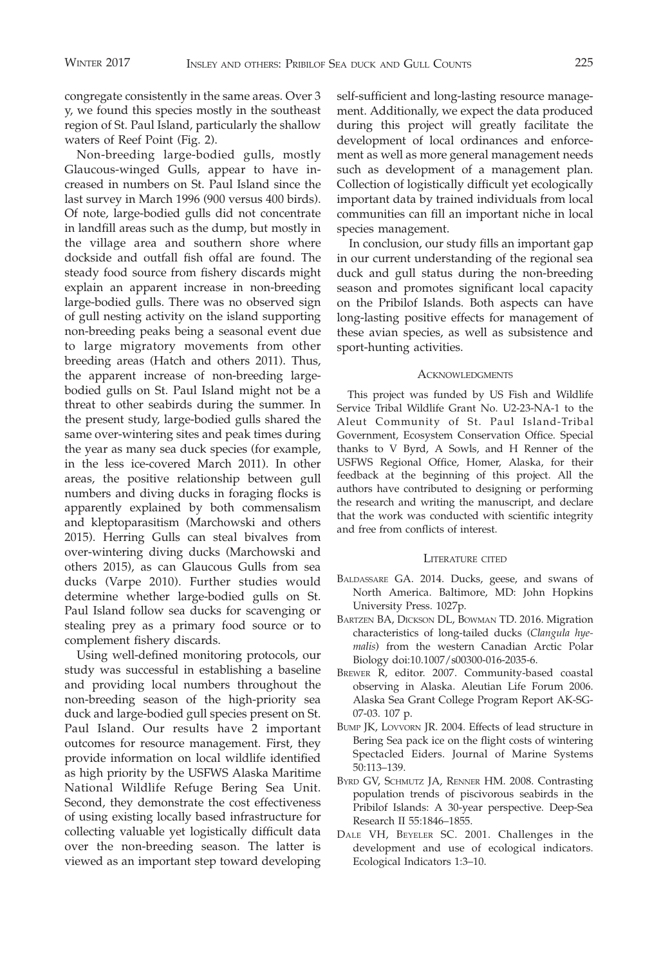congregate consistently in the same areas. Over 3 y, we found this species mostly in the southeast region of St. Paul Island, particularly the shallow waters of Reef Point (Fig. 2).

Non-breeding large-bodied gulls, mostly Glaucous-winged Gulls, appear to have increased in numbers on St. Paul Island since the last survey in March 1996 (900 versus 400 birds). Of note, large-bodied gulls did not concentrate in landfill areas such as the dump, but mostly in the village area and southern shore where dockside and outfall fish offal are found. The steady food source from fishery discards might explain an apparent increase in non-breeding large-bodied gulls. There was no observed sign of gull nesting activity on the island supporting non-breeding peaks being a seasonal event due to large migratory movements from other breeding areas (Hatch and others 2011). Thus, the apparent increase of non-breeding largebodied gulls on St. Paul Island might not be a threat to other seabirds during the summer. In the present study, large-bodied gulls shared the same over-wintering sites and peak times during the year as many sea duck species (for example, in the less ice-covered March 2011). In other areas, the positive relationship between gull numbers and diving ducks in foraging flocks is apparently explained by both commensalism and kleptoparasitism (Marchowski and others 2015). Herring Gulls can steal bivalves from over-wintering diving ducks (Marchowski and others 2015), as can Glaucous Gulls from sea ducks (Varpe 2010). Further studies would determine whether large-bodied gulls on St. Paul Island follow sea ducks for scavenging or stealing prey as a primary food source or to complement fishery discards.

Using well-defined monitoring protocols, our study was successful in establishing a baseline and providing local numbers throughout the non-breeding season of the high-priority sea duck and large-bodied gull species present on St. Paul Island. Our results have 2 important outcomes for resource management. First, they provide information on local wildlife identified as high priority by the USFWS Alaska Maritime National Wildlife Refuge Bering Sea Unit. Second, they demonstrate the cost effectiveness of using existing locally based infrastructure for collecting valuable yet logistically difficult data over the non-breeding season. The latter is viewed as an important step toward developing self-sufficient and long-lasting resource management. Additionally, we expect the data produced during this project will greatly facilitate the development of local ordinances and enforcement as well as more general management needs such as development of a management plan. Collection of logistically difficult yet ecologically important data by trained individuals from local communities can fill an important niche in local species management.

In conclusion, our study fills an important gap in our current understanding of the regional sea duck and gull status during the non-breeding season and promotes significant local capacity on the Pribilof Islands. Both aspects can have long-lasting positive effects for management of these avian species, as well as subsistence and sport-hunting activities.

#### **ACKNOWLEDGMENTS**

This project was funded by US Fish and Wildlife Service Tribal Wildlife Grant No. U2-23-NA-1 to the Aleut Community of St. Paul Island-Tribal Government, Ecosystem Conservation Office. Special thanks to V Byrd, A Sowls, and H Renner of the USFWS Regional Office, Homer, Alaska, for their feedback at the beginning of this project. All the authors have contributed to designing or performing the research and writing the manuscript, and declare that the work was conducted with scientific integrity and free from conflicts of interest.

## LITERATURE CITED

- BALDASSARE GA. 2014. Ducks, geese, and swans of North America. Baltimore, MD: John Hopkins University Press. 1027p.
- BARTZEN BA, DICKSON DL, BOWMAN TD. 2016. Migration characteristics of long-tailed ducks (Clangula hyemalis) from the western Canadian Arctic Polar Biology doi:10.1007/s00300-016-2035-6.
- BREWER R, editor. 2007. Community-based coastal observing in Alaska. Aleutian Life Forum 2006. Alaska Sea Grant College Program Report AK-SG-07-03. 107 p.
- BUMP JK, LOVVORN JR. 2004. Effects of lead structure in Bering Sea pack ice on the flight costs of wintering Spectacled Eiders. Journal of Marine Systems 50:113–139.
- BYRD GV, SCHMUTZ JA, RENNER HM. 2008. Contrasting population trends of piscivorous seabirds in the Pribilof Islands: A 30-year perspective. Deep-Sea Research II 55:1846–1855.
- DALE VH, BEYELER SC. 2001. Challenges in the development and use of ecological indicators. Ecological Indicators 1:3–10.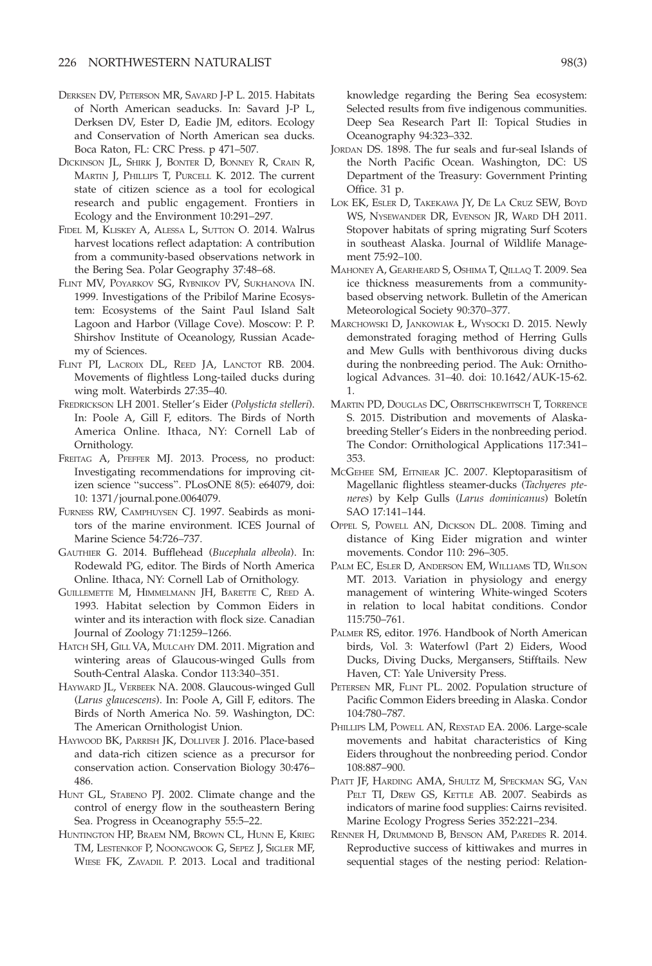- DERKSEN DV, PETERSON MR, SAVARD J-P L. 2015. Habitats of North American seaducks. In: Savard J-P L, Derksen DV, Ester D, Eadie JM, editors. Ecology and Conservation of North American sea ducks. Boca Raton, FL: CRC Press. p 471–507.
- DICKINSON JL, SHIRK J, BONTER D, BONNEY R, CRAIN R, MARTIN J, PHILLIPS T, PURCELL K. 2012. The current state of citizen science as a tool for ecological research and public engagement. Frontiers in Ecology and the Environment 10:291–297.
- FIDEL M, KLISKEY A, ALESSA L, SUTTON O. 2014. Walrus harvest locations reflect adaptation: A contribution from a community-based observations network in the Bering Sea. Polar Geography 37:48–68.
- FLINT MV, POYARKOV SG, RYBNIKOV PV, SUKHANOVA IN. 1999. Investigations of the Pribilof Marine Ecosystem: Ecosystems of the Saint Paul Island Salt Lagoon and Harbor (Village Cove). Moscow: P. P. Shirshov Institute of Oceanology, Russian Academy of Sciences.
- FLINT PI, LACROIX DL, REED JA, LANCTOT RB. 2004. Movements of flightless Long-tailed ducks during wing molt. Waterbirds 27:35–40.
- FREDRICKSON LH 2001. Steller's Eider (Polysticta stelleri). In: Poole A, Gill F, editors. The Birds of North America Online. Ithaca, NY: Cornell Lab of Ornithology.
- FREITAG A, PFEFFER MJ. 2013. Process, no product: Investigating recommendations for improving citizen science ''success''. PLosONE 8(5): e64079, doi: 10: 1371/journal.pone.0064079.
- FURNESS RW, CAMPHUYSEN CJ. 1997. Seabirds as monitors of the marine environment. ICES Journal of Marine Science 54:726–737.
- GAUTHIER G. 2014. Bufflehead (Bucephala albeola). In: Rodewald PG, editor. The Birds of North America Online. Ithaca, NY: Cornell Lab of Ornithology.
- GUILLEMETTE M, HIMMELMANN JH, BARETTE C, REED A. 1993. Habitat selection by Common Eiders in winter and its interaction with flock size. Canadian Journal of Zoology 71:1259–1266.
- HATCH SH, GILL VA, MULCAHY DM. 2011. Migration and wintering areas of Glaucous-winged Gulls from South-Central Alaska. Condor 113:340–351.
- HAYWARD JL, VERBEEK NA. 2008. Glaucous-winged Gull (Larus glaucescens). In: Poole A, Gill F, editors. The Birds of North America No. 59. Washington, DC: The American Ornithologist Union.
- HAYWOOD BK, PARRISH JK, DOLLIVER J. 2016. Place-based and data-rich citizen science as a precursor for conservation action. Conservation Biology 30:476– 486.
- HUNT GL, STABENO PJ. 2002. Climate change and the control of energy flow in the southeastern Bering Sea. Progress in Oceanography 55:5–22.
- HUNTINGTON HP, BRAEM NM, BROWN CL, HUNN E, KRIEG TM, LESTENKOF P, NOONGWOOK G, SEPEZ J, SIGLER MF, WIESE FK, ZAVADIL P. 2013. Local and traditional

knowledge regarding the Bering Sea ecosystem: Selected results from five indigenous communities. Deep Sea Research Part II: Topical Studies in Oceanography 94:323–332.

- JORDAN DS. 1898. The fur seals and fur-seal Islands of the North Pacific Ocean. Washington, DC: US Department of the Treasury: Government Printing Office. 31 p.
- LOK EK, ESLER D, TAKEKAWA JY, DE LA CRUZ SEW, BOYD WS, NYSEWANDER DR, EVENSON JR, WARD DH 2011. Stopover habitats of spring migrating Surf Scoters in southeast Alaska. Journal of Wildlife Management 75:92–100.
- MAHONEY A, GEARHEARD S, OSHIMA T, QILLAQ T. 2009. Sea ice thickness measurements from a communitybased observing network. Bulletin of the American Meteorological Society 90:370–377.
- MARCHOWSKI D, JANKOWIAK Ł, WYSOCKI D. 2015. Newly demonstrated foraging method of Herring Gulls and Mew Gulls with benthivorous diving ducks during the nonbreeding period. The Auk: Ornithological Advances. 31–40. doi: 10.1642/AUK-15-62. 1.
- MARTIN PD, DOUGLAS DC, OBRITSCHKEWITSCH T, TORRENCE S. 2015. Distribution and movements of Alaskabreeding Steller's Eiders in the nonbreeding period. The Condor: Ornithological Applications 117:341– 353.
- MCGEHEE SM, EITNIEAR JC. 2007. Kleptoparasitism of Magellanic flightless steamer-ducks (Tachyeres pteneres) by Kelp Gulls (Larus dominicanus) Boletín SAO 17:141–144.
- OPPEL S, POWELL AN, DICKSON DL. 2008. Timing and distance of King Eider migration and winter movements. Condor 110: 296–305.
- PALM EC, ESLER D, ANDERSON EM, WILLIAMS TD, WILSON MT. 2013. Variation in physiology and energy management of wintering White-winged Scoters in relation to local habitat conditions. Condor 115:750–761.
- PALMER RS, editor. 1976. Handbook of North American birds, Vol. 3: Waterfowl (Part 2) Eiders, Wood Ducks, Diving Ducks, Mergansers, Stifftails. New Haven, CT: Yale University Press.
- PETERSEN MR, FLINT PL. 2002. Population structure of Pacific Common Eiders breeding in Alaska. Condor 104:780–787.
- PHILLIPS LM, POWELL AN, REXSTAD EA. 2006. Large-scale movements and habitat characteristics of King Eiders throughout the nonbreeding period. Condor 108:887–900.
- PIATT JF, HARDING AMA, SHULTZ M, SPECKMAN SG, VAN PELT TI, DREW GS, KETTLE AB. 2007. Seabirds as indicators of marine food supplies: Cairns revisited. Marine Ecology Progress Series 352:221–234.
- RENNER H, DRUMMOND B, BENSON AM, PAREDES R. 2014. Reproductive success of kittiwakes and murres in sequential stages of the nesting period: Relation-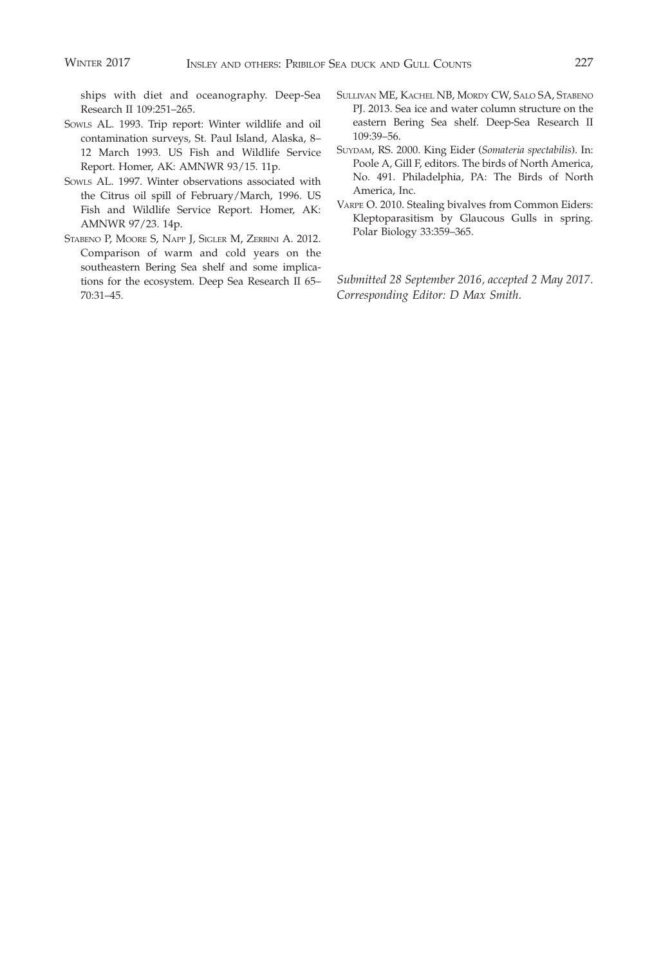ships with diet and oceanography. Deep-Sea Research II 109:251–265.

- SOWLS AL. 1993. Trip report: Winter wildlife and oil contamination surveys, St. Paul Island, Alaska, 8– 12 March 1993. US Fish and Wildlife Service Report. Homer, AK: AMNWR 93/15. 11p.
- SOWLS AL. 1997. Winter observations associated with the Citrus oil spill of February/March, 1996. US Fish and Wildlife Service Report. Homer, AK: AMNWR 97/23. 14p.
- STABENO P, MOORE S, NAPP J, SIGLER M, ZERBINI A. 2012. Comparison of warm and cold years on the southeastern Bering Sea shelf and some implications for the ecosystem. Deep Sea Research II 65– 70:31–45.
- SULLIVAN ME, KACHEL NB, MORDY CW, SALO SA, STABENO PJ. 2013. Sea ice and water column structure on the eastern Bering Sea shelf. Deep-Sea Research II 109:39–56.
- SUYDAM, RS. 2000. King Eider (Somateria spectabilis). In: Poole A, Gill F, editors. The birds of North America, No. 491. Philadelphia, PA: The Birds of North America, Inc.
- VARPE O. 2010. Stealing bivalves from Common Eiders: Kleptoparasitism by Glaucous Gulls in spring. Polar Biology 33:359–365.

Submitted 28 September 2016, accepted 2 May 2017. Corresponding Editor: D Max Smith.